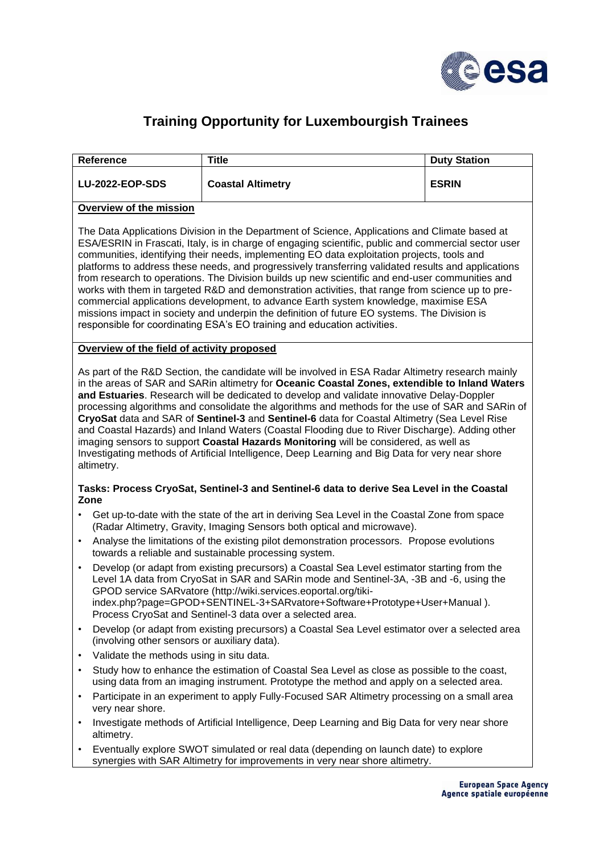

## **Training Opportunity for Luxembourgish Trainees**

| Reference                                                                                                                                                                                                                                                                                                                                                                                                                                                                                                                                                                                                                                                                                                                                                                                                                                                                                                      | <b>Title</b>                                                                                                                                                             |  | <b>Duty Station</b> |
|----------------------------------------------------------------------------------------------------------------------------------------------------------------------------------------------------------------------------------------------------------------------------------------------------------------------------------------------------------------------------------------------------------------------------------------------------------------------------------------------------------------------------------------------------------------------------------------------------------------------------------------------------------------------------------------------------------------------------------------------------------------------------------------------------------------------------------------------------------------------------------------------------------------|--------------------------------------------------------------------------------------------------------------------------------------------------------------------------|--|---------------------|
| <b>LU-2022-EOP-SDS</b>                                                                                                                                                                                                                                                                                                                                                                                                                                                                                                                                                                                                                                                                                                                                                                                                                                                                                         | <b>Coastal Altimetry</b>                                                                                                                                                 |  | <b>ESRIN</b>        |
| Overview of the mission                                                                                                                                                                                                                                                                                                                                                                                                                                                                                                                                                                                                                                                                                                                                                                                                                                                                                        |                                                                                                                                                                          |  |                     |
| The Data Applications Division in the Department of Science, Applications and Climate based at<br>ESA/ESRIN in Frascati, Italy, is in charge of engaging scientific, public and commercial sector user<br>communities, identifying their needs, implementing EO data exploitation projects, tools and<br>platforms to address these needs, and progressively transferring validated results and applications<br>from research to operations. The Division builds up new scientific and end-user communities and<br>works with them in targeted R&D and demonstration activities, that range from science up to pre-<br>commercial applications development, to advance Earth system knowledge, maximise ESA<br>missions impact in society and underpin the definition of future EO systems. The Division is<br>responsible for coordinating ESA's EO training and education activities.                        |                                                                                                                                                                          |  |                     |
| Overview of the field of activity proposed                                                                                                                                                                                                                                                                                                                                                                                                                                                                                                                                                                                                                                                                                                                                                                                                                                                                     |                                                                                                                                                                          |  |                     |
| As part of the R&D Section, the candidate will be involved in ESA Radar Altimetry research mainly<br>in the areas of SAR and SARin altimetry for Oceanic Coastal Zones, extendible to Inland Waters<br>and Estuaries. Research will be dedicated to develop and validate innovative Delay-Doppler<br>processing algorithms and consolidate the algorithms and methods for the use of SAR and SARin of<br>CryoSat data and SAR of Sentinel-3 and Sentinel-6 data for Coastal Altimetry (Sea Level Rise<br>and Coastal Hazards) and Inland Waters (Coastal Flooding due to River Discharge). Adding other<br>imaging sensors to support Coastal Hazards Monitoring will be considered, as well as<br>Investigating methods of Artificial Intelligence, Deep Learning and Big Data for very near shore<br>altimetry.<br>Tasks: Process CryoSat, Sentinel-3 and Sentinel-6 data to derive Sea Level in the Coastal |                                                                                                                                                                          |  |                     |
| Zone                                                                                                                                                                                                                                                                                                                                                                                                                                                                                                                                                                                                                                                                                                                                                                                                                                                                                                           |                                                                                                                                                                          |  |                     |
| $\bullet$                                                                                                                                                                                                                                                                                                                                                                                                                                                                                                                                                                                                                                                                                                                                                                                                                                                                                                      | Get up-to-date with the state of the art in deriving Sea Level in the Coastal Zone from space<br>(Radar Altimetry, Gravity, Imaging Sensors both optical and microwave). |  |                     |
| Analyse the limitations of the existing pilot demonstration processors. Propose evolutions<br>$\bullet$<br>towards a reliable and sustainable processing system.                                                                                                                                                                                                                                                                                                                                                                                                                                                                                                                                                                                                                                                                                                                                               |                                                                                                                                                                          |  |                     |
| Develop (or adapt from existing precursors) a Coastal Sea Level estimator starting from the<br>$\bullet$<br>Level 1A data from CryoSat in SAR and SARin mode and Sentinel-3A, -3B and -6, using the<br>GPOD service SARvatore (http://wiki.services.eoportal.org/tiki-<br>index.php?page=GPOD+SENTINEL-3+SARvatore+Software+Prototype+User+Manual).<br>Process CryoSat and Sentinel-3 data over a selected area.                                                                                                                                                                                                                                                                                                                                                                                                                                                                                               |                                                                                                                                                                          |  |                     |
| Develop (or adapt from existing precursors) a Coastal Sea Level estimator over a selected area<br>$\bullet$<br>(involving other sensors or auxiliary data).                                                                                                                                                                                                                                                                                                                                                                                                                                                                                                                                                                                                                                                                                                                                                    |                                                                                                                                                                          |  |                     |
| Validate the methods using in situ data.<br>$\bullet$                                                                                                                                                                                                                                                                                                                                                                                                                                                                                                                                                                                                                                                                                                                                                                                                                                                          |                                                                                                                                                                          |  |                     |
| Study how to enhance the estimation of Coastal Sea Level as close as possible to the coast,<br>$\bullet$<br>using data from an imaging instrument. Prototype the method and apply on a selected area.                                                                                                                                                                                                                                                                                                                                                                                                                                                                                                                                                                                                                                                                                                          |                                                                                                                                                                          |  |                     |
| Participate in an experiment to apply Fully-Focused SAR Altimetry processing on a small area<br>$\bullet$<br>very near shore.                                                                                                                                                                                                                                                                                                                                                                                                                                                                                                                                                                                                                                                                                                                                                                                  |                                                                                                                                                                          |  |                     |
| Investigate methods of Artificial Intelligence, Deep Learning and Big Data for very near shore<br>$\bullet$<br>altimetry.                                                                                                                                                                                                                                                                                                                                                                                                                                                                                                                                                                                                                                                                                                                                                                                      |                                                                                                                                                                          |  |                     |
| Eventually explore SWOT simulated or real data (depending on launch date) to explore<br>synergies with SAR Altimetry for improvements in very near shore altimetry.                                                                                                                                                                                                                                                                                                                                                                                                                                                                                                                                                                                                                                                                                                                                            |                                                                                                                                                                          |  |                     |

synergies with SAR Altimetry for improvements in very near shore altimetry.